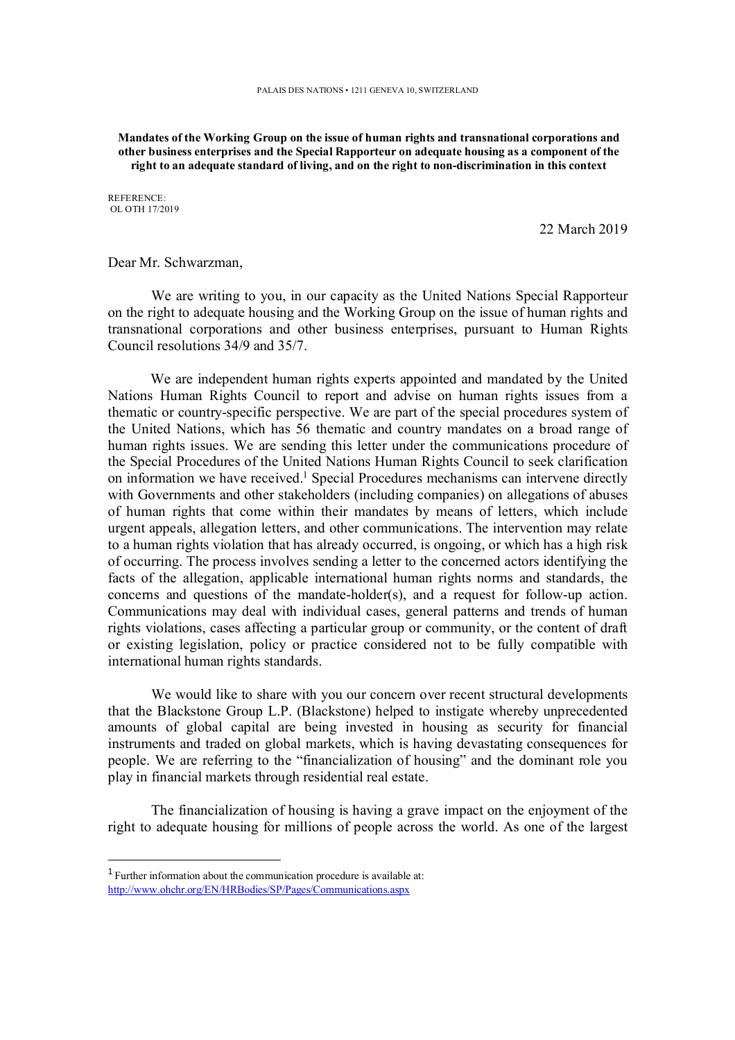**Mandates of the Working Group on the issue of human rights and transnational corporations and other business enterprises and the Special Rapporteur on adequate housing as a component of the right to an adequate standard of living, and on the right to non-discrimination in this context** 

REFERENCE: OL OTH 17/2019

22 March 2019

Dear Mr. Schwarzman,

We are writing to you, in our capacity as the United Nations Special Rapporteur on the right to adequate housing and the Working Group on the issue of human rights and transnational corporations and other business enterprises, pursuant to Human Rights Council resolutions 34/9 and 35/7.

We are independent human rights experts appointed and mandated by the United Nations Human Rights Council to report and advise on human rights issues from a thematic or country-specific perspective. We are part of the special procedures system of the United Nations, which has 56 thematic and country mandates on a broad range of human rights issues. We are sending this letter under the communications procedure of the Special Procedures of the United Nations Human Rights Council to seek clarification on information we have received.<sup>1</sup> Special Procedures mechanisms can intervene directly with Governments and other stakeholders (including companies) on allegations of abuses of human rights that come within their mandates by means of letters, which include urgent appeals, allegation letters, and other communications. The intervention may relate to a human rights violation that has already occurred, is ongoing, or which has a high risk of occurring. The process involves sending a letter to the concerned actors identifying the facts of the allegation, applicable international human rights norms and standards, the concerns and questions of the mandate-holder(s), and a request for follow-up action. Communications may deal with individual cases, general patterns and trends of human rights violations, cases affecting a particular group or community, or the content of draft or existing legislation, policy or practice considered not to be fully compatible with international human rights standards.

We would like to share with you our concern over recent structural developments that the Blackstone Group L.P. (Blackstone) helped to instigate whereby unprecedented amounts of global capital are being invested in housing as security for financial instruments and traded on global markets, which is having devastating consequences for people. We are referring to the "financialization of housing" and the dominant role you play in financial markets through residential real estate.

The financialization of housing is having a grave impact on the enjoyment of the right to adequate housing for millions of people across the world. As one of the largest

 $\overline{a}$ 

<sup>&</sup>lt;sup>1</sup> Further information about the communication procedure is available at: http://www.ohchr.org/EN/HRBodies/SP/Pages/Communications.aspx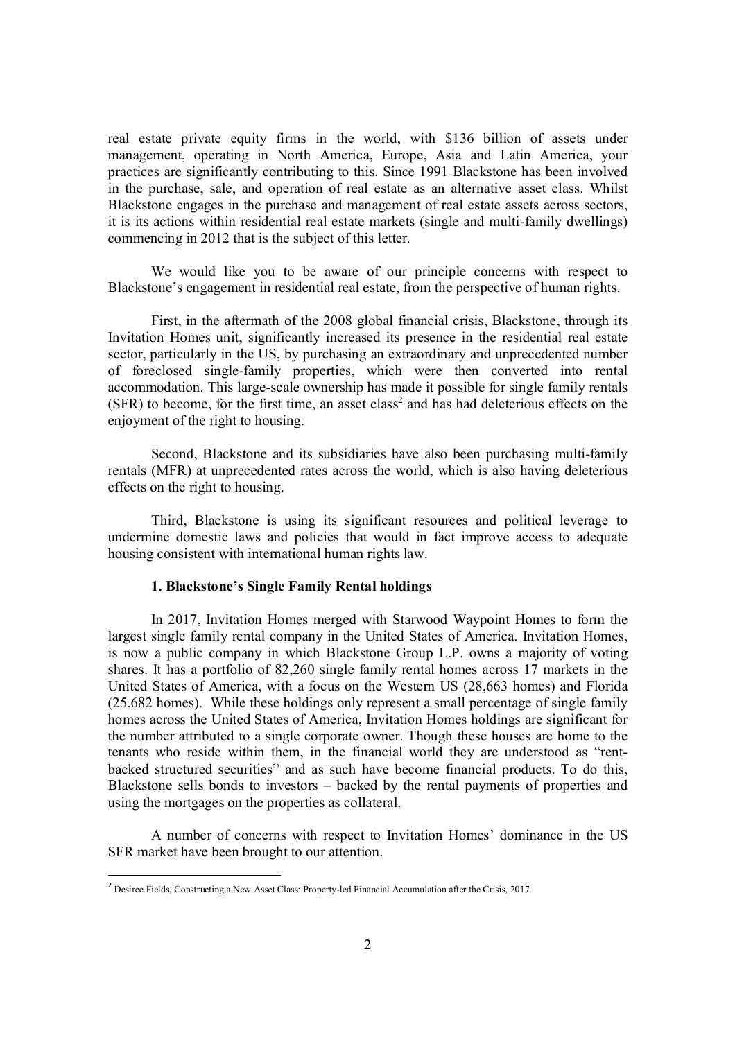real estate private equity firms in the world, with \$136 billion of assets under management, operating in North America, Europe, Asia and Latin America, your practices are significantly contributing to this. Since 1991 Blackstone has been involved in the purchase, sale, and operation of real estate as an alternative asset class. Whilst Blackstone engages in the purchase and management of real estate assets across sectors, it is its actions within residential real estate markets (single and multi-family dwellings) commencing in 2012 that is the subject of this letter.

We would like you to be aware of our principle concerns with respect to Blackstone's engagement in residential real estate, from the perspective of human rights.

First, in the aftermath of the 2008 global financial crisis, Blackstone, through its Invitation Homes unit, significantly increased its presence in the residential real estate sector, particularly in the US, by purchasing an extraordinary and unprecedented number of foreclosed single-family properties, which were then converted into rental accommodation. This large-scale ownership has made it possible for single family rentals  $(SFR)$  to become, for the first time, an asset class<sup>2</sup> and has had deleterious effects on the enjoyment of the right to housing.

Second, Blackstone and its subsidiaries have also been purchasing multi-family rentals (MFR) at unprecedented rates across the world, which is also having deleterious effects on the right to housing.

Third, Blackstone is using its significant resources and political leverage to undermine domestic laws and policies that would in fact improve access to adequate housing consistent with international human rights law.

#### **1. Blackstone's Single Family Rental holdings**

In 2017, Invitation Homes merged with Starwood Waypoint Homes to form the largest single family rental company in the United States of America. Invitation Homes, is now a public company in which Blackstone Group L.P. owns a majority of voting shares. It has a portfolio of 82,260 single family rental homes across 17 markets in the United States of America, with a focus on the Western US (28,663 homes) and Florida (25,682 homes). While these holdings only represent a small percentage of single family homes across the United States of America, Invitation Homes holdings are significant for the number attributed to a single corporate owner. Though these houses are home to the tenants who reside within them, in the financial world they are understood as "rentbacked structured securities" and as such have become financial products. To do this, Blackstone sells bonds to investors – backed by the rental payments of properties and using the mortgages on the properties as collateral.

A number of concerns with respect to Invitation Homes' dominance in the US SFR market have been brought to our attention.

 $\overline{a}$ 

<sup>&</sup>lt;sup>2</sup> Desiree Fields, Constructing a New Asset Class: Property-led Financial Accumulation after the Crisis, 2017.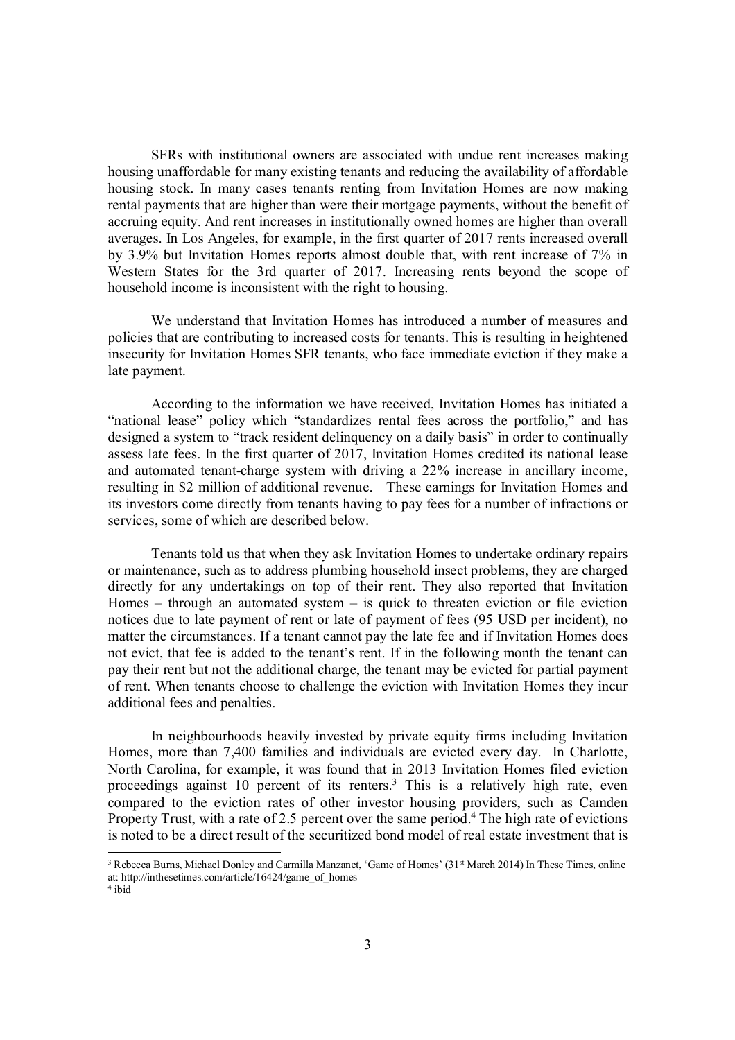SFRs with institutional owners are associated with undue rent increases making housing unaffordable for many existing tenants and reducing the availability of affordable housing stock. In many cases tenants renting from Invitation Homes are now making rental payments that are higher than were their mortgage payments, without the benefit of accruing equity. And rent increases in institutionally owned homes are higher than overall averages. In Los Angeles, for example, in the first quarter of 2017 rents increased overall by 3.9% but Invitation Homes reports almost double that, with rent increase of 7% in Western States for the 3rd quarter of 2017. Increasing rents beyond the scope of household income is inconsistent with the right to housing.

We understand that Invitation Homes has introduced a number of measures and policies that are contributing to increased costs for tenants. This is resulting in heightened insecurity for Invitation Homes SFR tenants, who face immediate eviction if they make a late payment.

According to the information we have received, Invitation Homes has initiated a "national lease" policy which "standardizes rental fees across the portfolio," and has designed a system to "track resident delinquency on a daily basis" in order to continually assess late fees. In the first quarter of 2017, Invitation Homes credited its national lease and automated tenant-charge system with driving a 22% increase in ancillary income, resulting in \$2 million of additional revenue. These earnings for Invitation Homes and its investors come directly from tenants having to pay fees for a number of infractions or services, some of which are described below.

Tenants told us that when they ask Invitation Homes to undertake ordinary repairs or maintenance, such as to address plumbing household insect problems, they are charged directly for any undertakings on top of their rent. They also reported that Invitation Homes – through an automated system – is quick to threaten eviction or file eviction notices due to late payment of rent or late of payment of fees (95 USD per incident), no matter the circumstances. If a tenant cannot pay the late fee and if Invitation Homes does not evict, that fee is added to the tenant's rent. If in the following month the tenant can pay their rent but not the additional charge, the tenant may be evicted for partial payment of rent. When tenants choose to challenge the eviction with Invitation Homes they incur additional fees and penalties.

In neighbourhoods heavily invested by private equity firms including Invitation Homes, more than 7,400 families and individuals are evicted every day. In Charlotte, North Carolina, for example, it was found that in 2013 Invitation Homes filed eviction proceedings against 10 percent of its renters.<sup>3</sup> This is a relatively high rate, even compared to the eviction rates of other investor housing providers, such as Camden Property Trust, with a rate of 2.5 percent over the same period.<sup>4</sup> The high rate of evictions is noted to be a direct result of the securitized bond model of real estate investment that is

<sup>&</sup>lt;sup>3</sup> Rebecca Burns, Michael Donley and Carmilla Manzanet, 'Game of Homes' (31st March 2014) In These Times, online at: http://inthesetimes.com/article/16424/game\_of\_homes

<sup>4</sup> ibid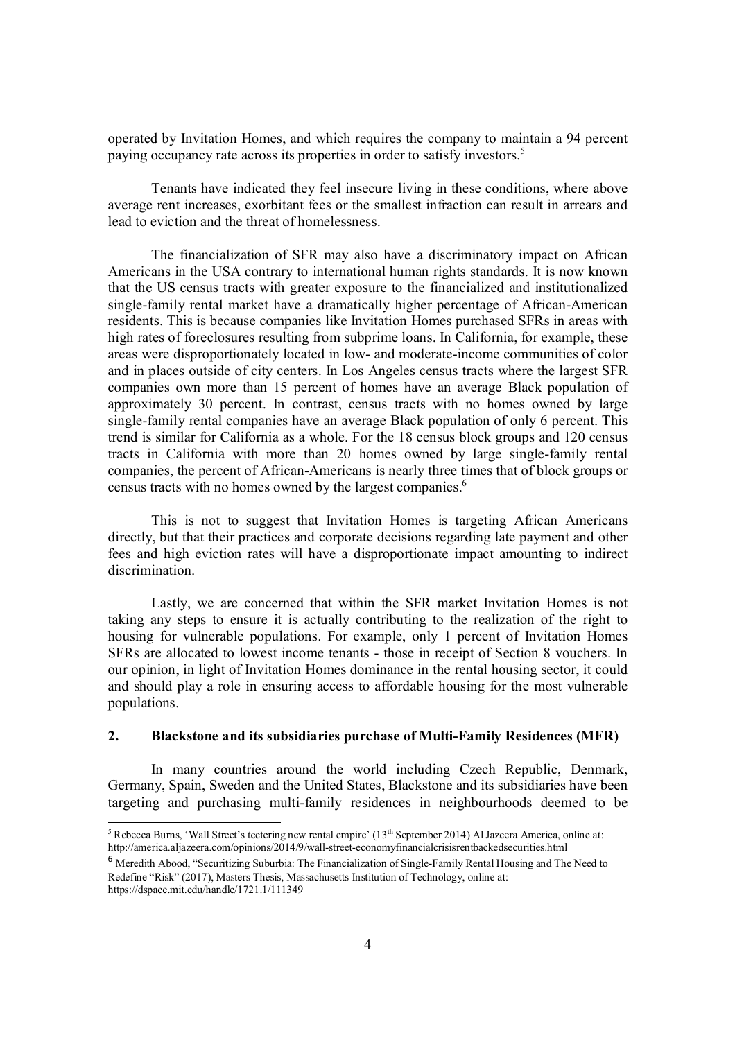operated by Invitation Homes, and which requires the company to maintain a 94 percent paying occupancy rate across its properties in order to satisfy investors.<sup>5</sup>

Tenants have indicated they feel insecure living in these conditions, where above average rent increases, exorbitant fees or the smallest infraction can result in arrears and lead to eviction and the threat of homelessness.

The financialization of SFR may also have a discriminatory impact on African Americans in the USA contrary to international human rights standards. It is now known that the US census tracts with greater exposure to the financialized and institutionalized single-family rental market have a dramatically higher percentage of African-American residents. This is because companies like Invitation Homes purchased SFRs in areas with high rates of foreclosures resulting from subprime loans. In California, for example, these areas were disproportionately located in low- and moderate-income communities of color and in places outside of city centers. In Los Angeles census tracts where the largest SFR companies own more than 15 percent of homes have an average Black population of approximately 30 percent. In contrast, census tracts with no homes owned by large single-family rental companies have an average Black population of only 6 percent. This trend is similar for California as a whole. For the 18 census block groups and 120 census tracts in California with more than 20 homes owned by large single-family rental companies, the percent of African-Americans is nearly three times that of block groups or census tracts with no homes owned by the largest companies.<sup>6</sup>

This is not to suggest that Invitation Homes is targeting African Americans directly, but that their practices and corporate decisions regarding late payment and other fees and high eviction rates will have a disproportionate impact amounting to indirect discrimination.

Lastly, we are concerned that within the SFR market Invitation Homes is not taking any steps to ensure it is actually contributing to the realization of the right to housing for vulnerable populations. For example, only 1 percent of Invitation Homes SFRs are allocated to lowest income tenants - those in receipt of Section 8 vouchers. In our opinion, in light of Invitation Homes dominance in the rental housing sector, it could and should play a role in ensuring access to affordable housing for the most vulnerable populations.

# **2. Blackstone and its subsidiaries purchase of Multi-Family Residences (MFR)**

In many countries around the world including Czech Republic, Denmark, Germany, Spain, Sweden and the United States, Blackstone and its subsidiaries have been targeting and purchasing multi-family residences in neighbourhoods deemed to be

<sup>5&</sup>lt;br>
<sup>5</sup> Rebecca Burns, 'Wall Street's teetering new rental empire' (13<sup>th</sup> September 2014) Al Jazeera America, online at: http://america.aljazeera.com/opinions/2014/9/wall-street-economyfinancialcrisisrentbackedsecurities.html

<sup>6</sup> Meredith Abood, "Securitizing Suburbia: The Financialization of Single-Family Rental Housing and The Need to Redefine "Risk" (2017), Masters Thesis, Massachusetts Institution of Technology, online at:

https://dspace.mit.edu/handle/1721.1/111349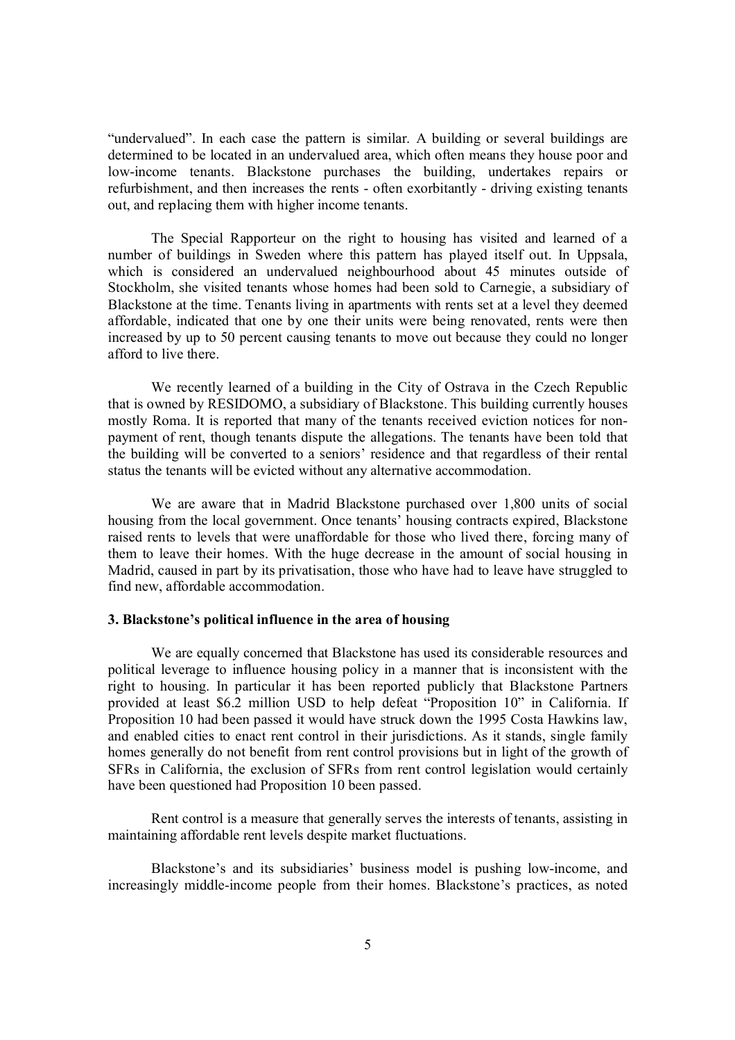"undervalued". In each case the pattern is similar. A building or several buildings are determined to be located in an undervalued area, which often means they house poor and low-income tenants. Blackstone purchases the building, undertakes repairs or refurbishment, and then increases the rents - often exorbitantly - driving existing tenants out, and replacing them with higher income tenants.

The Special Rapporteur on the right to housing has visited and learned of a number of buildings in Sweden where this pattern has played itself out. In Uppsala, which is considered an undervalued neighbourhood about 45 minutes outside of Stockholm, she visited tenants whose homes had been sold to Carnegie, a subsidiary of Blackstone at the time. Tenants living in apartments with rents set at a level they deemed affordable, indicated that one by one their units were being renovated, rents were then increased by up to 50 percent causing tenants to move out because they could no longer afford to live there.

We recently learned of a building in the City of Ostrava in the Czech Republic that is owned by RESIDOMO, a subsidiary of Blackstone. This building currently houses mostly Roma. It is reported that many of the tenants received eviction notices for nonpayment of rent, though tenants dispute the allegations. The tenants have been told that the building will be converted to a seniors' residence and that regardless of their rental status the tenants will be evicted without any alternative accommodation.

We are aware that in Madrid Blackstone purchased over 1,800 units of social housing from the local government. Once tenants' housing contracts expired, Blackstone raised rents to levels that were unaffordable for those who lived there, forcing many of them to leave their homes. With the huge decrease in the amount of social housing in Madrid, caused in part by its privatisation, those who have had to leave have struggled to find new, affordable accommodation.

#### **3. Blackstone's political influence in the area of housing**

We are equally concerned that Blackstone has used its considerable resources and political leverage to influence housing policy in a manner that is inconsistent with the right to housing. In particular it has been reported publicly that Blackstone Partners provided at least \$6.2 million USD to help defeat "Proposition 10" in California. If Proposition 10 had been passed it would have struck down the 1995 Costa Hawkins law, and enabled cities to enact rent control in their jurisdictions. As it stands, single family homes generally do not benefit from rent control provisions but in light of the growth of SFRs in California, the exclusion of SFRs from rent control legislation would certainly have been questioned had Proposition 10 been passed.

Rent control is a measure that generally serves the interests of tenants, assisting in maintaining affordable rent levels despite market fluctuations.

Blackstone's and its subsidiaries' business model is pushing low-income, and increasingly middle-income people from their homes. Blackstone's practices, as noted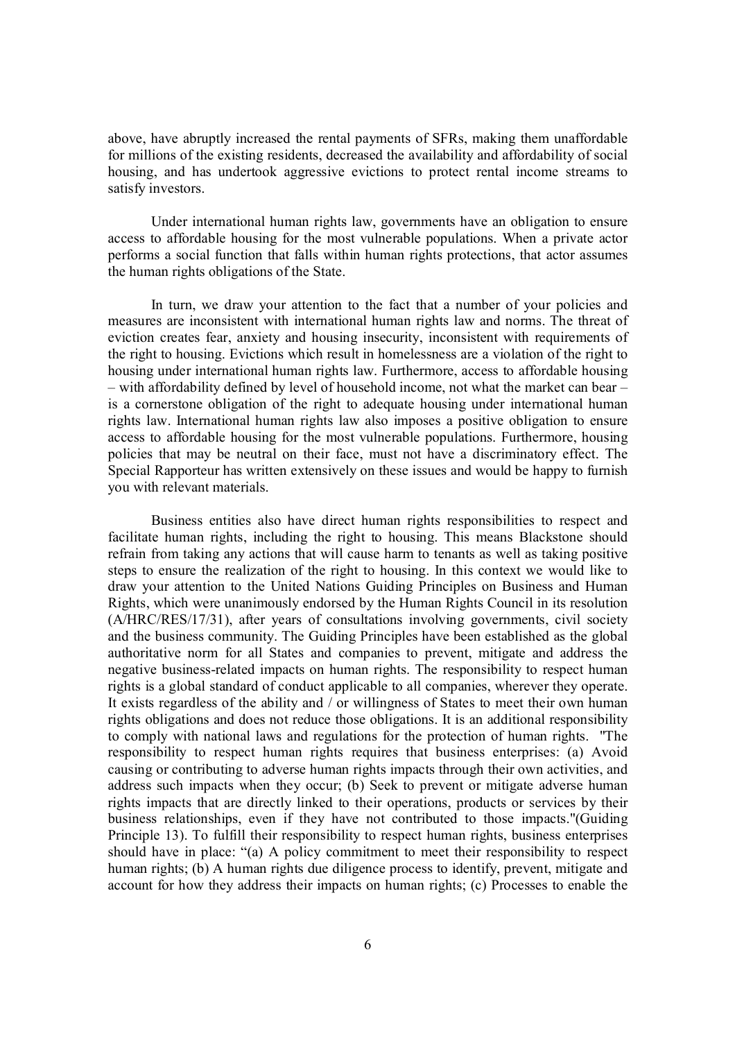above, have abruptly increased the rental payments of SFRs, making them unaffordable for millions of the existing residents, decreased the availability and affordability of social housing, and has undertook aggressive evictions to protect rental income streams to satisfy investors.

Under international human rights law, governments have an obligation to ensure access to affordable housing for the most vulnerable populations. When a private actor performs a social function that falls within human rights protections, that actor assumes the human rights obligations of the State.

In turn, we draw your attention to the fact that a number of your policies and measures are inconsistent with international human rights law and norms. The threat of eviction creates fear, anxiety and housing insecurity, inconsistent with requirements of the right to housing. Evictions which result in homelessness are a violation of the right to housing under international human rights law. Furthermore, access to affordable housing – with affordability defined by level of household income, not what the market can bear – is a cornerstone obligation of the right to adequate housing under international human rights law. International human rights law also imposes a positive obligation to ensure access to affordable housing for the most vulnerable populations. Furthermore, housing policies that may be neutral on their face, must not have a discriminatory effect. The Special Rapporteur has written extensively on these issues and would be happy to furnish you with relevant materials.

Business entities also have direct human rights responsibilities to respect and facilitate human rights, including the right to housing. This means Blackstone should refrain from taking any actions that will cause harm to tenants as well as taking positive steps to ensure the realization of the right to housing. In this context we would like to draw your attention to the United Nations Guiding Principles on Business and Human Rights, which were unanimously endorsed by the Human Rights Council in its resolution (A/HRC/RES/17/31), after years of consultations involving governments, civil society and the business community. The Guiding Principles have been established as the global authoritative norm for all States and companies to prevent, mitigate and address the negative business-related impacts on human rights. The responsibility to respect human rights is a global standard of conduct applicable to all companies, wherever they operate. It exists regardless of the ability and / or willingness of States to meet their own human rights obligations and does not reduce those obligations. It is an additional responsibility to comply with national laws and regulations for the protection of human rights. "The responsibility to respect human rights requires that business enterprises: (a) Avoid causing or contributing to adverse human rights impacts through their own activities, and address such impacts when they occur; (b) Seek to prevent or mitigate adverse human rights impacts that are directly linked to their operations, products or services by their business relationships, even if they have not contributed to those impacts."(Guiding Principle 13). To fulfill their responsibility to respect human rights, business enterprises should have in place: "(a) A policy commitment to meet their responsibility to respect human rights; (b) A human rights due diligence process to identify, prevent, mitigate and account for how they address their impacts on human rights; (c) Processes to enable the